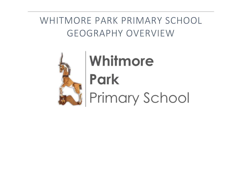## WHITMORE PARK PRIMARY SCHOOL GEOGRAPHY OVERVIEW



# Whitmore Park Primary School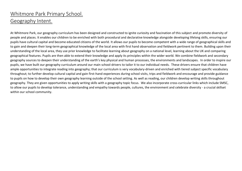### Whitmore Park Primary School. Geography Intent.

At Whitmore Park, our geography curriculum has been designed and constructed to ignite curiosity and fascination of this subject and promote diversity of people and places. It enables our children to be enriched with both procedural and declarative knowledge alongside developing lifelong skills, ensuring our pupils have cultural capital and become educated citizens of the world. It allows our pupils to become competent with a wide range of geographical skills and to gain and deepen their long-term geographical knowledge of the local area with first hand observation and fieldwork pertinent to them. Building upon their understanding of the local area, they use prior knowledge to facilitate learning about geography on a national level, learning about the UK and comparing geographical features. Pupils are then able to extend their knowledge and apply its principles within the wider world. We combine fieldwork and secondary geography sources to deepen their understanding of the earth's key physical and human processes, the environments and landscapes. In order to inspire our pupils, we have built our geography curriculum around our main school-drivers to tailor it to our individual needs. These drivers ensure that children have ample opportunities to integrate reading into geography; that our curriculum is very vocabulary-driven and enriched with tiered subject specific vocabulary throughout; to further develop cultural capital and gain first-hand experiences during school visits, trips and fieldwork and encourage and provide guidance to pupils on how to develop their own geography learning outside of the school setting. As well as reading, our children develop writing skills throughout geography. They are given opportunities to apply writing skills with a geography topic focus. We also incorporate cross-curricular links which include SMSC, to allow our pupils to develop tolerance, understanding and empathy towards people, cultures, the environment and celebrate diversity - a crucial skillset within our school community.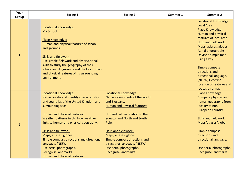| Year<br>Group  | Spring 1                                                                                                                                                                                                                                                                                                                                                                                                                                                           | <b>Spring 2</b>                                                                                                                                                                                                                                                                                                                                                          | Summer 1 | <b>Summer 2</b>                                                                                                                                                                                                                                                                                                                                                         |
|----------------|--------------------------------------------------------------------------------------------------------------------------------------------------------------------------------------------------------------------------------------------------------------------------------------------------------------------------------------------------------------------------------------------------------------------------------------------------------------------|--------------------------------------------------------------------------------------------------------------------------------------------------------------------------------------------------------------------------------------------------------------------------------------------------------------------------------------------------------------------------|----------|-------------------------------------------------------------------------------------------------------------------------------------------------------------------------------------------------------------------------------------------------------------------------------------------------------------------------------------------------------------------------|
| 1              | Locational Knowledge:<br>My School.<br>Place Knowledge:<br>Human and physical features of school<br>and grounds.<br><b>Skills and fieldwork:</b><br>Use simple fieldwork and observational<br>skills to study the geography of their<br>school and its grounds and the key human<br>and physical features of its surrounding<br>environment.                                                                                                                       |                                                                                                                                                                                                                                                                                                                                                                          |          | Locational Knowledge:<br><b>Local Area</b><br>Place Knowledge:<br>Human and physical<br>features of local area.<br><b>Skills and fieldwork:</b><br>Maps, atlases, globes.<br>Aerial photographs.<br>Devise a simple map<br>using a key.<br>Simple compass<br>directions and<br>directional language.<br>(NESW) Describe<br>location of features and<br>routes on a map. |
| $\overline{2}$ | Locational Knowledge:<br>Name, locate and identify characteristics<br>of 4 countries of the United Kingdom and<br>surrounding seas.<br>Human and Physical features:<br>Weather patterns in UK. How weather<br>links to human and physical geography.<br><b>Skills and fieldwork:</b><br>Maps, atlases, globes.<br>Simple compass directions and directional<br>language. (NESW)<br>Use aerial photographs.<br>Recognise landmarks.<br>Human and physical features. | Locational Knowledge:<br>Name 7 Continents of the world<br>and 5 oceans.<br><b>Human and Physical features:</b><br>Hot and cold in relation to the<br>equator and North and South<br>Pole.<br><b>Skills and fieldwork:</b><br>Maps, atlases, globes.<br>Simple compass directions and<br>directional language. (NESW)<br>Use aerial photographs.<br>Recognise landmarks. |          | Place Knowledge:<br>Compare physical and<br>human geography from<br>locality to non-<br>European country.<br><b>Skills and fieldwork:</b><br>Maps/atlases/globe.<br>Simple compass<br>directions and<br>directional language.<br>Use aerial photographs.<br>Recognise landmarks.                                                                                        |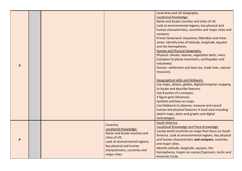| 3 |                                                                                                                                                                                                          | Name and locate counties and cities of UK.<br>Look at environmental regions, key physical and<br>human characteristics, countries and major cities and<br>compare.<br>Prime/ Greenwich meantime / Meridian and timer<br>zones. Identify lines of latitude, longitude, equator<br>and the hemispheres.<br><b>Human and Physical Geography.</b><br>Physical: climate, biomes, vegetation belts, rivers<br>(compare to places mountains, earthquakes and<br>volcanoes)<br>Human: settlement and land use, trade links, natural<br>resources.<br>Geographical skills and fieldwork.<br>Use maps, atlases, globes, digital/computer mapping<br>to locate and describe features.<br>Use 8 points of a compass.<br>4 figure grid references.<br>Symbols and keys on maps.<br>Use fieldwork to observe, measure and record<br>human and physical features in local area including<br>sketch maps, plans and graphs and digital<br>technologies.<br>South America. |
|---|----------------------------------------------------------------------------------------------------------------------------------------------------------------------------------------------------------|-----------------------------------------------------------------------------------------------------------------------------------------------------------------------------------------------------------------------------------------------------------------------------------------------------------------------------------------------------------------------------------------------------------------------------------------------------------------------------------------------------------------------------------------------------------------------------------------------------------------------------------------------------------------------------------------------------------------------------------------------------------------------------------------------------------------------------------------------------------------------------------------------------------------------------------------------------------|
| 4 | Coventry<br><b>Locational Knowledge:</b><br>Name and locate counties and<br>cities of UK.<br>Look at environmental regions,<br>key physical and human<br>characteristics, countries and<br>major cities. | Locational Knowledge and Place Knowledge:<br>Locate world countries on maps then focus on South<br>America. Look at environmental regions, key physical<br>and human characteristics and compare, countries<br>and major cities.<br>Identify latitude, longitude, equator, the<br>hemispheres, tropics on cancer/Capricorn, Arctic and<br>Antarctic Circle.                                                                                                                                                                                                                                                                                                                                                                                                                                                                                                                                                                                               |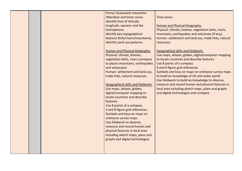|  | Prime/ Greenwich meantime            |                                                      |
|--|--------------------------------------|------------------------------------------------------|
|  | /Meridian and timer zones.           | Time zones.                                          |
|  | Identify lines of latitude,          |                                                      |
|  | longitude, equator and the           | <b>Human and Physical Geography.</b>                 |
|  | hemispheres.                         | Physical: climate, biomes, vegetation belts, rivers, |
|  | Identify key topographical           | mountains, earthquakes and volcanoes (if any).       |
|  | features (hills/rivers/mountains).   | Human: settlement and land use, trade links, natural |
|  | Identify Land use patterns.          | resources.                                           |
|  |                                      |                                                      |
|  | <b>Human and Physical Geography.</b> | Geographical skills and fieldwork.                   |
|  | Physical: climate, biomes,           | Use maps, atlases, globes, digital/computer mapping  |
|  | vegetation belts, rivers (compare    | to locate countries and describe features.           |
|  | to places mountains, earthquakes     | Use 8 points of a compass.                           |
|  | and volcanoes)                       | 4 and 8 figure grid references.                      |
|  | Human: settlement and land use,      | Symbols and keys on maps on ordnance survey maps     |
|  | trade links, natural resources.      | to build on knowledge of UK and wider world.         |
|  |                                      | Use fieldwork to build on knowledge to observe,      |
|  | Geographical skills and fieldwork.   | measure and record human and physical features in    |
|  | Use maps, atlases, globes,           | local area including sketch maps, plans and graphs   |
|  | digital/computer mapping to          | and digital technologies and compare.                |
|  | locate countries and describe        |                                                      |
|  | features.                            |                                                      |
|  | Use 8 points of a compass.           |                                                      |
|  | 4 and 8 figure grid references.      |                                                      |
|  | Symbols and keys on maps on          |                                                      |
|  | ordnance survey maps.                |                                                      |
|  | Use fieldwork to observe,            |                                                      |
|  | measure and record human and         |                                                      |
|  |                                      |                                                      |
|  | physical features in local area      |                                                      |
|  | including sketch maps, plans and     |                                                      |
|  | graphs and digital technologies.     |                                                      |
|  |                                      |                                                      |
|  |                                      |                                                      |
|  |                                      |                                                      |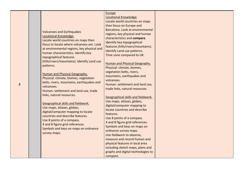| 5 | <b>Volcanoes and Earthquakes</b><br>Locational Knowledge:<br>Locate world countries on maps then<br>focus to locate where volcanoes are. Look<br>at environmental regions, key physical and<br>human characteristics. Identify key<br>topographical features<br>(hills/rivers/mountains). Identify Land use<br>patterns.<br>Human and Physical Geography.<br>Physical: climate, biomes, vegetation<br>belts, rivers, mountains, earthquakes and<br>volcanoes.<br>Human: settlement and land use, trade<br>links, natural resources.<br>Geographical skills and fieldwork.<br>Use maps, atlases, globes,<br>digital/computer mapping to locate<br>countries and describe features.<br>Use 8 points of a compass.<br>4 and 8 figure grid references.<br>Symbols and keys on maps on ordnance<br>survey maps. | Europe<br><b>Locational Knowledge:</b><br>Locate world countries on maps<br>then focus on Europe and<br>Barcelona. Look at environmental<br>regions, key physical and human<br>characteristics and compare.<br>Identify key topographical<br>features (hills/rivers/mountains).<br>Identify Land use patterns.<br>Time zone compared to UK.<br><b>Human and Physical Geography.</b><br>Physical: climate, biomes,<br>vegetation belts, rivers,<br>mountains, earthquakes and<br>volcanoes.<br>Human: settlement and land use,<br>trade links, natural resources.<br>Geographical skills and fieldwork.<br>Use maps, atlases, globes,<br>digital/computer mapping to<br>locate countries and describe<br>features.<br>Use 8 points of a compass.<br>4 and 8 figure grid references.<br>Symbols and keys on maps on<br>ordnance survey maps.<br>Use fieldwork to observe,<br>measure and record human and<br>physical features in local area<br>including sketch maps, plans and<br>graphs and digital technologies to<br>compare. |  |
|---|------------------------------------------------------------------------------------------------------------------------------------------------------------------------------------------------------------------------------------------------------------------------------------------------------------------------------------------------------------------------------------------------------------------------------------------------------------------------------------------------------------------------------------------------------------------------------------------------------------------------------------------------------------------------------------------------------------------------------------------------------------------------------------------------------------|----------------------------------------------------------------------------------------------------------------------------------------------------------------------------------------------------------------------------------------------------------------------------------------------------------------------------------------------------------------------------------------------------------------------------------------------------------------------------------------------------------------------------------------------------------------------------------------------------------------------------------------------------------------------------------------------------------------------------------------------------------------------------------------------------------------------------------------------------------------------------------------------------------------------------------------------------------------------------------------------------------------------------------|--|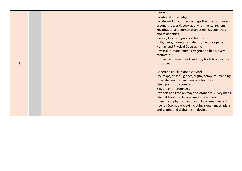|   |  | <b>Rivers</b><br>Locational Knowledge:<br>Locate world countries on maps then focus on rivers<br>around the world. Look at environmental regions,<br>key physical and human characteristics, countries<br>and major cities.<br>Identify key topographical features<br>(hills/rivers/mountains). Identify Land use patterns.<br><b>Human and Physical Geography.</b><br>Physical: climate, biomes, vegetation belts, rivers,<br>mountains.                   |
|---|--|-------------------------------------------------------------------------------------------------------------------------------------------------------------------------------------------------------------------------------------------------------------------------------------------------------------------------------------------------------------------------------------------------------------------------------------------------------------|
| 6 |  | Human: settlement and land use, trade links, natural<br>resources.                                                                                                                                                                                                                                                                                                                                                                                          |
|   |  | Geographical skills and fieldwork.<br>Use maps, atlases, globes, digital/computer mapping<br>to locate counties and describe features.<br>Use 8 points of a compass.<br>8 figure grid references.<br>Symbols and keys on maps on ordnance survey maps.<br>Use fieldwork to observe, measure and record<br>human and physical features in local area (nearest<br>river at Coombe Abbey) including sketch maps, plans<br>and graphs and digital technologies. |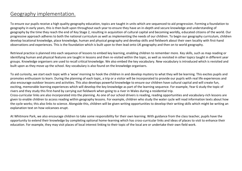### Geography implementation.

To ensure our pupils receive a high quality geography education, topics are taught in units which are sequenced to aid progression. Forming a foundation to geography in early years, this is then built upon throughout each year to ensure they have an in-depth and secure knowledge and understanding of geography by the time they reach the end of Key Stage 2, resulting in acquisition of cultural capital and becoming worldly, educated citizens of the world. Our progressive approach adheres to both the national curriculum as well as implementing the needs of our children. To begin our geography curriculum, children develop locational knowledge, place knowledge, human and physical geography and develop skills and fieldwork about their own locality with first-hand observations and experiences. This is the foundation which is built upon to then lead onto UK geography and then on to world geography.

Retrieval practice is planned into each sequence of lessons to embed key learning, enabling children to remember more. Key skills, such as map reading or identifying human and physical features are taught in lessons and then re-visited within the topic, as well as revisited in other topics taught in different year groups. Knowledge organisers are used to recall critical knowledge. We also embed the key vocabulary. New vocabulary is introduced which is revisited and built upon as they move up the school. Key vocabulary is also found on the knowledge organisers.

To aid curiosity, we start each topic with a 'wow' morning to hook the children in and develop mystery to what they will be learning. This excites pupils and promotes enthusiasm to learn. During the planning of each topic, a trip or a visitor will be incorporated to provide our pupils with real life experiences and also encourage outdoor lessons and activities. This also develops powerful knowledge to ensure our children have cultural capital and will create fun, exciting, memorable learning experiences which will develop the key knowledge as part of the learning sequence. For example, Year 6 study the topic of rivers and they study this first-hand by carrying out fieldwork when going to a river in Wales during a residential trip. Cross-curricular links are also incorporated into the planning. As one of our school drivers is reading, reading opportunities and vocabulary-rich lessons are

given to enable children to access reading within geography lessons. For example, children who study the water cycle will read information texts about how the cycle works; this also links to science. Alongside this, children will be given writing opportunities to develop their writing skills which might be writing an explanation text on how volcanoes erupt.

At Whitmore Park, we also encourage children to take some responsibility for their own learning. With guidance from the class teacher, pupils have the opportunity to extend their knowledge by completing optional home-learning which has cross-curricular links and ideas of places to visit to enhance their education. For example, they may visit places of local interest linking to their topic of the local are or undertake their own field work.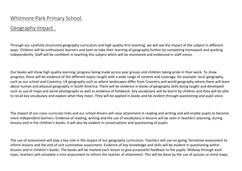#### Geography Impact .

Through our carefully structured geography curriculum and high quality-first teaching, we will see the impact of the subject in different ways. Children will be enthusiastic learners and keen to take their learning of geography further by completing homework and working independently. Staff will be confident in teaching this subject which will be monitored and evidenced in staff voices.

Our books will show high quality learning; progress being made across year groups and children taking pride in their work. To show progress, there will be evidence of the different topics taught with a wide range of content and coverage, for example: local geography, such as our school and Coventry; UK geography such as where landscapes differ from Coventry and world geography where there will learn about human and physical geography in South America. There will be evidence in books of geography skills being taught and developed such as use of maps and aerial photographs as well as evidence of fieldwork. Key vocabulary will be learnt by children and they will be able to recall key vocabulary and explain what they mean. They will be applied in books and be evident through questioning and pupil voice.

The impact of our cross-curricular links and our school drivers will raise attainment in reading and writing and will enable pupils to become more independent learners. Evidence of reading, writing and the use of vocabulary in lessons will be seen in teachers' planning, during lessons and in the children's books. It will also be evident in conversations and questioning of pupils.

The use of assessment will play a key role in the impact of our geography curriculum. Teachers will use on-going, formative assessment to inform lessons and the end of unit summative assessment. Evidence of key knowledge and skills will be evident in questioning within lessons and in children's books. The books will be marked each lesson to give purposeful feedback to the pupils. Midway through each topic, teachers will complete a mini assessment to inform the teacher of attainment. This will be done by the use of quizzes or mind maps,